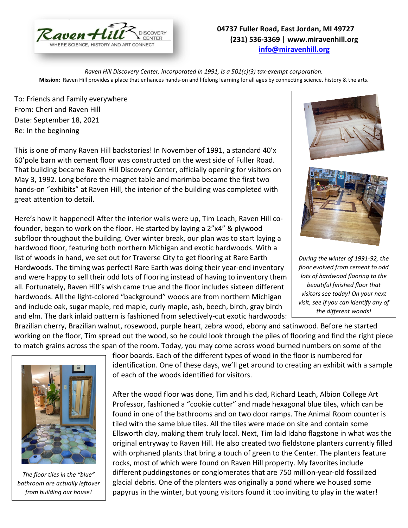

## **04737 Fuller Road, East Jordan, MI 49727 (231) 536-3369 | www.miravenhill.org [info@miravenhill.org](mailto:info@miravenhill.org)**

*Raven Hill Discovery Center, incorporated in 1991, is a 501(c)(3) tax-exempt corporation.* **Mission:** Raven Hill provides a place that enhances hands-on and lifelong learning for all ages by connecting science, history & the arts.

To: Friends and Family everywhere From: Cheri and Raven Hill Date: September 18, 2021 Re: In the beginning

This is one of many Raven Hill backstories! In November of 1991, a standard 40'x 60'pole barn with cement floor was constructed on the west side of Fuller Road. That building became Raven Hill Discovery Center, officially opening for visitors on May 3, 1992. Long before the magnet table and marimba became the first two hands-on "exhibits" at Raven Hill, the interior of the building was completed with great attention to detail.

Here's how it happened! After the interior walls were up, Tim Leach, Raven Hill cofounder, began to work on the floor. He started by laying a 2"x4" & plywood subfloor throughout the building. Over winter break, our plan was to start laying a hardwood floor, featuring both northern Michigan and exotic hardwoods. With a list of woods in hand, we set out for Traverse City to get flooring at Rare Earth Hardwoods. The timing was perfect! Rare Earth was doing their year-end inventory and were happy to sell their odd lots of flooring instead of having to inventory them all. Fortunately, Raven Hill's wish came true and the floor includes sixteen different hardwoods. All the light-colored "background" woods are from northern Michigan and include oak, sugar maple, red maple, curly maple, ash, beech, birch, gray birch and elm. The dark inlaid pattern is fashioned from selectively-cut exotic hardwoods:

Brazilian cherry, Brazilian walnut, rosewood, purple heart, zebra wood, ebony and satinwood. Before he started working on the floor, Tim spread out the wood, so he could look through the piles of flooring and find the right piece to match grains across the span of the room. Today, you may come across wood burned numbers on some of the



*The floor tiles in the "blue" bathroom are actually leftover from building our house!* 

floor boards. Each of the different types of wood in the floor is numbered for identification. One of these days, we'll get around to creating an exhibit with a sample of each of the woods identified for visitors.

After the wood floor was done, Tim and his dad, Richard Leach, Albion College Art Professor, fashioned a "cookie cutter" and made hexagonal blue tiles, which can be found in one of the bathrooms and on two door ramps. The Animal Room counter is tiled with the same blue tiles. All the tiles were made on site and contain some Ellsworth clay, making them truly local. Next, Tim laid Idaho flagstone in what was the original entryway to Raven Hill. He also created two fieldstone planters currently filled with orphaned plants that bring a touch of green to the Center. The planters feature rocks, most of which were found on Raven Hill property. My favorites include different puddingstones or conglomerates that are 750 million-year-old fossilized glacial debris. One of the planters was originally a pond where we housed some papyrus in the winter, but young visitors found it too inviting to play in the water!





*During the winter of 1991-92, the floor evolved from cement to odd lots of hardwood flooring to the beautiful finished floor that visitors see today! On your next visit, see if you can identify any of the different woods!*